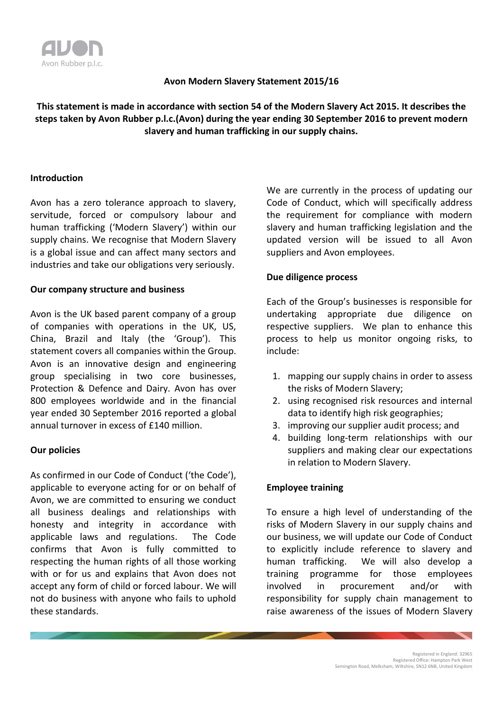

## **Avon Modern Slavery Statement 2015/16**

# **This statement is made in accordance with section 54 of the Modern Slavery Act 2015. It describes the steps taken by Avon Rubber p.l.c.(Avon) during the year ending 30 September 2016 to prevent modern slavery and human trafficking in our supply chains.**

## **Introduction**

Avon has a zero tolerance approach to slavery, servitude, forced or compulsory labour and human trafficking ('Modern Slavery') within our supply chains. We recognise that Modern Slavery is a global issue and can affect many sectors and industries and take our obligations very seriously.

#### **Our company structure and business**

Avon is the UK based parent company of a group of companies with operations in the UK, US, China, Brazil and Italy (the 'Group'). This statement covers all companies within the Group. Avon is an innovative design and engineering group specialising in two core businesses, Protection & Defence and Dairy. Avon has over 800 employees worldwide and in the financial year ended 30 September 2016 reported a global annual turnover in excess of £140 million.

#### **Our policies**

As confirmed in our Code of Conduct ('the Code'), applicable to everyone acting for or on behalf of Avon, we are committed to ensuring we conduct all business dealings and relationships with honesty and integrity in accordance with applicable laws and regulations. The Code confirms that Avon is fully committed to respecting the human rights of all those working with or for us and explains that Avon does not accept any form of child or forced labour. We will not do business with anyone who fails to uphold these standards.

We are currently in the process of updating our Code of Conduct, which will specifically address the requirement for compliance with modern slavery and human trafficking legislation and the updated version will be issued to all Avon suppliers and Avon employees.

## **Due diligence process**

Each of the Group's businesses is responsible for undertaking appropriate due diligence on respective suppliers. We plan to enhance this process to help us monitor ongoing risks, to include:

- 1. mapping our supply chains in order to assess the risks of Modern Slavery;
- 2. using recognised risk resources and internal data to identify high risk geographies;
- 3. improving our supplier audit process; and
- 4. building long-term relationships with our suppliers and making clear our expectations in relation to Modern Slavery.

## **Employee training**

To ensure a high level of understanding of the risks of Modern Slavery in our supply chains and our business, we will update our Code of Conduct to explicitly include reference to slavery and human trafficking. We will also develop a training programme for those employees involved in procurement and/or with responsibility for supply chain management to raise awareness of the issues of Modern Slavery